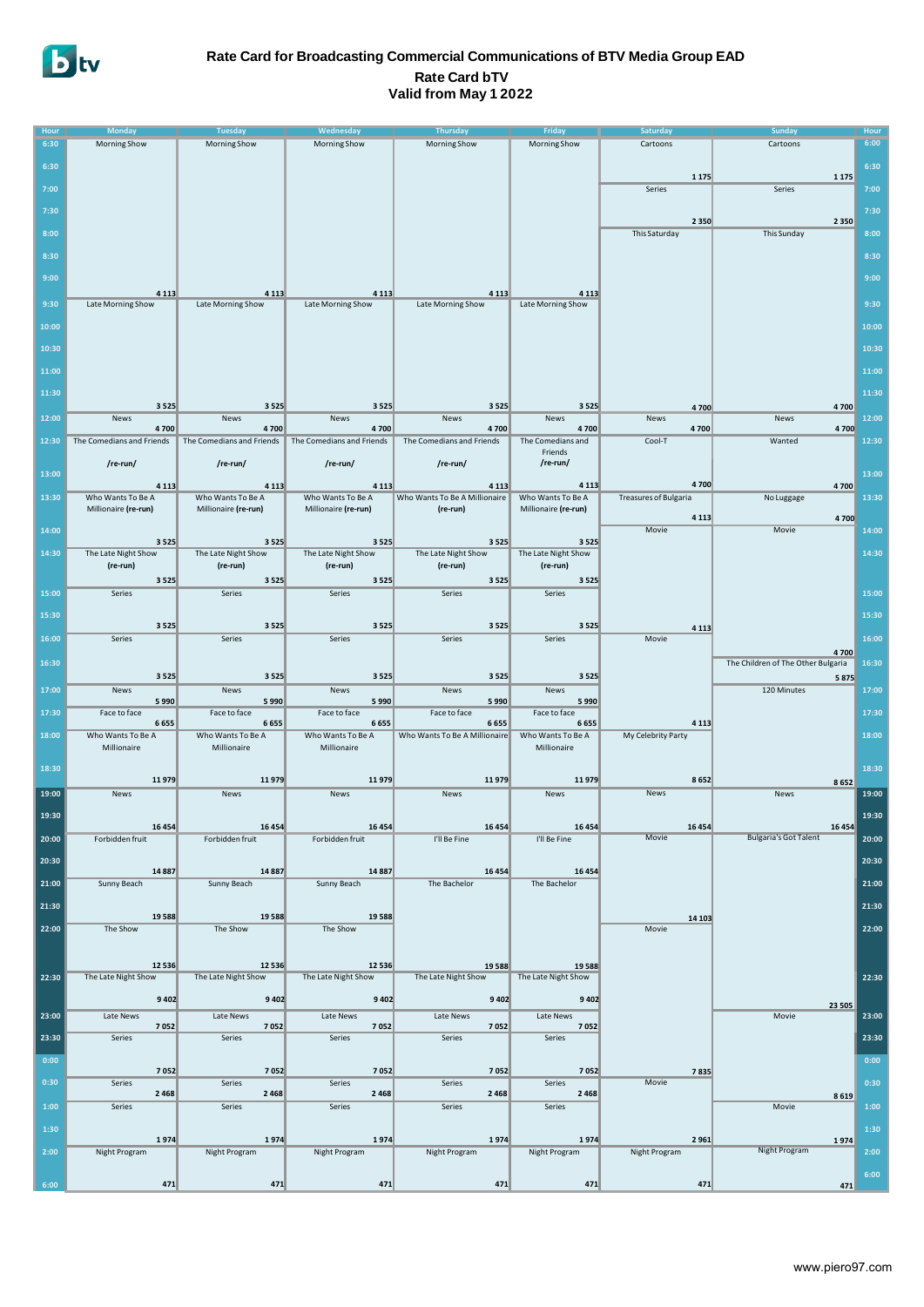

### **Rate Card for Broadcasting Commercial Communications of BTV Media Group EAD Rate Card bTV Valid from May 1 2022**

| <b>Hour</b> | <b>Monday</b>                     | <b>Tuesday</b>                    | Wednesday                         | <b>Thursday</b>                          | Friday                         | Saturday                             | <b>Sunday</b>                           | Hour  |
|-------------|-----------------------------------|-----------------------------------|-----------------------------------|------------------------------------------|--------------------------------|--------------------------------------|-----------------------------------------|-------|
| 6:30        | Morning Show                      | <b>Morning Show</b>               | Morning Show                      | Morning Show                             | Morning Show                   | Cartoons                             | Cartoons                                | 6:00  |
|             |                                   |                                   |                                   |                                          |                                |                                      |                                         |       |
| 6:30        |                                   |                                   |                                   |                                          |                                |                                      |                                         | 6:30  |
|             |                                   |                                   |                                   |                                          |                                | 1 1 7 5                              | 1 1 7 5                                 |       |
| 7:00        |                                   |                                   |                                   |                                          |                                | Series                               | Series                                  | 7:00  |
| 7:30        |                                   |                                   |                                   |                                          |                                |                                      |                                         | 7:30  |
|             |                                   |                                   |                                   |                                          |                                | 2 3 5 0                              | 2 3 5 0                                 |       |
| 8:00        |                                   |                                   |                                   |                                          |                                | This Saturday                        | This Sunday                             | 8:00  |
| 8:30        |                                   |                                   |                                   |                                          |                                |                                      |                                         |       |
|             |                                   |                                   |                                   |                                          |                                |                                      |                                         | 8:30  |
| 9:00        |                                   |                                   |                                   |                                          |                                |                                      |                                         | 9:00  |
|             | 4 1 1 3                           | 4 1 1 3                           | 4 1 1 3                           | 4 1 1 3                                  | 4 1 1 3                        |                                      |                                         |       |
| 9:30        | Late Morning Show                 | Late Morning Show                 | Late Morning Show                 | Late Morning Show                        | Late Morning Show              |                                      |                                         | 9:30  |
| 10:00       |                                   |                                   |                                   |                                          |                                |                                      |                                         | 10:00 |
|             |                                   |                                   |                                   |                                          |                                |                                      |                                         |       |
| 10:30       |                                   |                                   |                                   |                                          |                                |                                      |                                         | 10:30 |
| 11:00       |                                   |                                   |                                   |                                          |                                |                                      |                                         | 11:00 |
|             |                                   |                                   |                                   |                                          |                                |                                      |                                         |       |
| 11:30       |                                   |                                   |                                   |                                          |                                |                                      |                                         | 11:30 |
|             | 3 5 2 5                           | 3 5 2 5                           | 3525                              | 3 5 2 5                                  | 3 5 2 5                        | 4700                                 | 4700                                    |       |
| 12:00       | News                              | News                              | News                              | News                                     | News                           | News                                 | News                                    | 12:00 |
| 12:30       | 4700<br>The Comedians and Friends | 4700<br>The Comedians and Friends | 4700<br>The Comedians and Friends | 4700<br>The Comedians and Friends        | 4700<br>The Comedians and      | 4700<br>Cool-T                       | 4700<br>Wanted                          | 12:30 |
|             |                                   |                                   |                                   |                                          | Friends                        |                                      |                                         |       |
|             | /re-run/                          | /re-run/                          | /re-run/                          | /re-run/                                 | /re-run/                       |                                      |                                         |       |
| 13:00       |                                   |                                   |                                   |                                          |                                |                                      |                                         | 13:00 |
| 13:30       | 4 1 1 3<br>Who Wants To Be A      | 4 1 1 3<br>Who Wants To Be A      | 4 1 1 3<br>Who Wants To Be A      | 4 1 1 3<br>Who Wants To Be A Millionaire | 4 1 1 3<br>Who Wants To Be A   | 4700<br><b>Treasures of Bulgaria</b> | 4700                                    | 13:30 |
|             | Millionaire (re-run)              | Millionaire (re-run)              | Millionaire (re-run)              | (re-run)                                 | Millionaire (re-run)           |                                      | No Luggage                              |       |
|             |                                   |                                   |                                   |                                          |                                | 4 1 1 3                              | 4700                                    |       |
| 14:00       |                                   |                                   |                                   |                                          |                                | Movie                                | Movie                                   | 14:00 |
| 14:30       | 3525<br>The Late Night Show       | 3 5 2 5<br>The Late Night Show    | 3525<br>The Late Night Show       | 3 5 2 5<br>The Late Night Show           | 3 5 2 5<br>The Late Night Show |                                      |                                         | 14:30 |
|             | (re-run)                          | (re-run)                          | (re-run)                          | (re-run)                                 | (re-run)                       |                                      |                                         |       |
|             | 3 5 2 5                           | 3 5 2 5                           | 3525                              | 3 5 2 5                                  | 3 5 2 5                        |                                      |                                         |       |
| 15:00       | Series                            | Series                            | Series                            | Series                                   | Series                         |                                      |                                         | 15:00 |
|             |                                   |                                   |                                   |                                          |                                |                                      |                                         |       |
| 15:30       |                                   |                                   |                                   |                                          |                                |                                      |                                         | 15:30 |
| 16:00       | 3 5 2 5<br>Series                 | 3 5 2 5<br>Series                 | 3525<br>Series                    | 3 5 2 5<br>Series                        | 3 5 2 5<br>Series              | 4 1 1 3<br>Movie                     |                                         | 16:00 |
|             |                                   |                                   |                                   |                                          |                                |                                      | 4700                                    |       |
| 16:30       |                                   |                                   |                                   |                                          |                                |                                      | The Children of The Other Bulgaria      | 16:30 |
|             | 3 5 2 5                           | 3 5 2 5                           | 3525                              | 3 5 2 5                                  | 3 5 2 5                        |                                      | 5875                                    |       |
| 17:00       | News                              | News                              | News                              | News                                     | News                           |                                      | 120 Minutes                             | 17:00 |
|             | 5990                              | 5 9 9 0                           | 5990                              | 5990                                     | 5990                           |                                      |                                         |       |
| 17:30       | Face to face<br>6655              | Face to face<br>6655              | Face to face<br>6655              | Face to face<br>6655                     | Face to face<br>6655           | 4 1 1 3                              |                                         | 17:30 |
| 18:00       | Who Wants To Be A                 | Who Wants To Be A                 | Who Wants To Be A                 | Who Wants To Be A Millionaire            | Who Wants To Be A              | My Celebrity Party                   |                                         | 18:00 |
|             | Millionaire                       | Millionaire                       | Millionaire                       |                                          | Millionaire                    |                                      |                                         |       |
|             |                                   |                                   |                                   |                                          |                                |                                      |                                         |       |
| 18:30       | 11979                             | 11979                             | 11979                             | 11979                                    | 11979                          | 8652                                 | 8652                                    | 18:30 |
| 19:00       | News                              | News                              | News                              | News                                     | News                           | News                                 | News                                    | 19:00 |
|             |                                   |                                   |                                   |                                          |                                |                                      |                                         |       |
| 19:30       |                                   |                                   |                                   |                                          |                                |                                      |                                         | 19:30 |
| 20:00       | 16 4 54<br>Forbidden fruit        | 16454<br>Forbidden fruit          | 16 4 54<br>Forbidden fruit        | 16 4 54<br>I'll Be Fine                  | 16454<br>I'll Be Fine          | 16 4 54<br>Movie                     | 16 4 54<br><b>Bulgaria's Got Talent</b> | 20:00 |
|             |                                   |                                   |                                   |                                          |                                |                                      |                                         |       |
| 20:30       |                                   |                                   |                                   |                                          |                                |                                      |                                         | 20:30 |
|             | 14 8 87                           | 14 8 87                           | 14 8 87                           | 16 4 54                                  | $\sim$ 16 454                  |                                      |                                         |       |
| 21:00       | Sunny Beach                       | Sunny Beach                       | Sunny Beach                       | The Bachelor                             | The Bachelor                   |                                      |                                         | 21:00 |
| 21:30       |                                   |                                   |                                   |                                          |                                |                                      |                                         | 21:30 |
|             | 19588                             | 19588                             | 19588                             |                                          |                                | 14 10 3                              |                                         |       |
| 22:00       | The Show                          | The Show                          | The Show                          |                                          |                                | Movie                                |                                         | 22:00 |
|             |                                   |                                   |                                   |                                          |                                |                                      |                                         |       |
|             | 12 5 36                           | 12 5 36                           | 12 5 36                           | 19588                                    | 19 5 88                        |                                      |                                         |       |
| 22:30       | The Late Night Show               | The Late Night Show               | The Late Night Show               | The Late Night Show                      | The Late Night Show            |                                      |                                         | 22:30 |
|             |                                   |                                   |                                   |                                          |                                |                                      |                                         |       |
|             | 9402                              | 9 4 0 2                           | 9 4 0 2                           | 9402                                     | 9402                           |                                      | 23 505                                  |       |
| 23:00       | Late News                         | Late News                         | Late News                         | Late News                                | Late News                      |                                      | Movie                                   | 23:00 |
| 23:30       | 7052<br>Series                    | 7052<br>Series                    | 7052<br>Series                    | 7052<br>Series                           | 7052<br>Series                 |                                      |                                         | 23:30 |
|             |                                   |                                   |                                   |                                          |                                |                                      |                                         |       |
| 0:00        |                                   |                                   |                                   |                                          |                                |                                      |                                         | 0:00  |
|             | 7052                              | 7052                              | 7052                              | 7052                                     | 7052                           | 7835                                 |                                         |       |
| 0:30        | Series<br>2468                    | Series<br>2 4 6 8                 | Series<br>2 4 6 8                 | Series<br>2 4 6 8                        | Series<br>2468                 | Movie                                |                                         | 0:30  |
| 1:00        | Series                            | Series                            | Series                            | Series                                   | Series                         |                                      | 8619<br>Movie                           | 1:00  |
|             |                                   |                                   |                                   |                                          |                                |                                      |                                         |       |
| 1:30        | 1974                              | 1974                              | 1974                              | 1974                                     | 1974                           | 2961                                 |                                         | 1:30  |
| 2:00        | Night Program                     | Night Program                     | Night Program                     | Night Program                            | Night Program                  | Night Program                        | 1974<br>Night Program                   | 2:00  |
|             |                                   |                                   |                                   |                                          |                                |                                      |                                         |       |
|             |                                   |                                   |                                   |                                          |                                |                                      |                                         | 6:00  |
| 6:00        | 471                               | 471                               | 471                               | 471                                      | 471                            | 471                                  | 471                                     |       |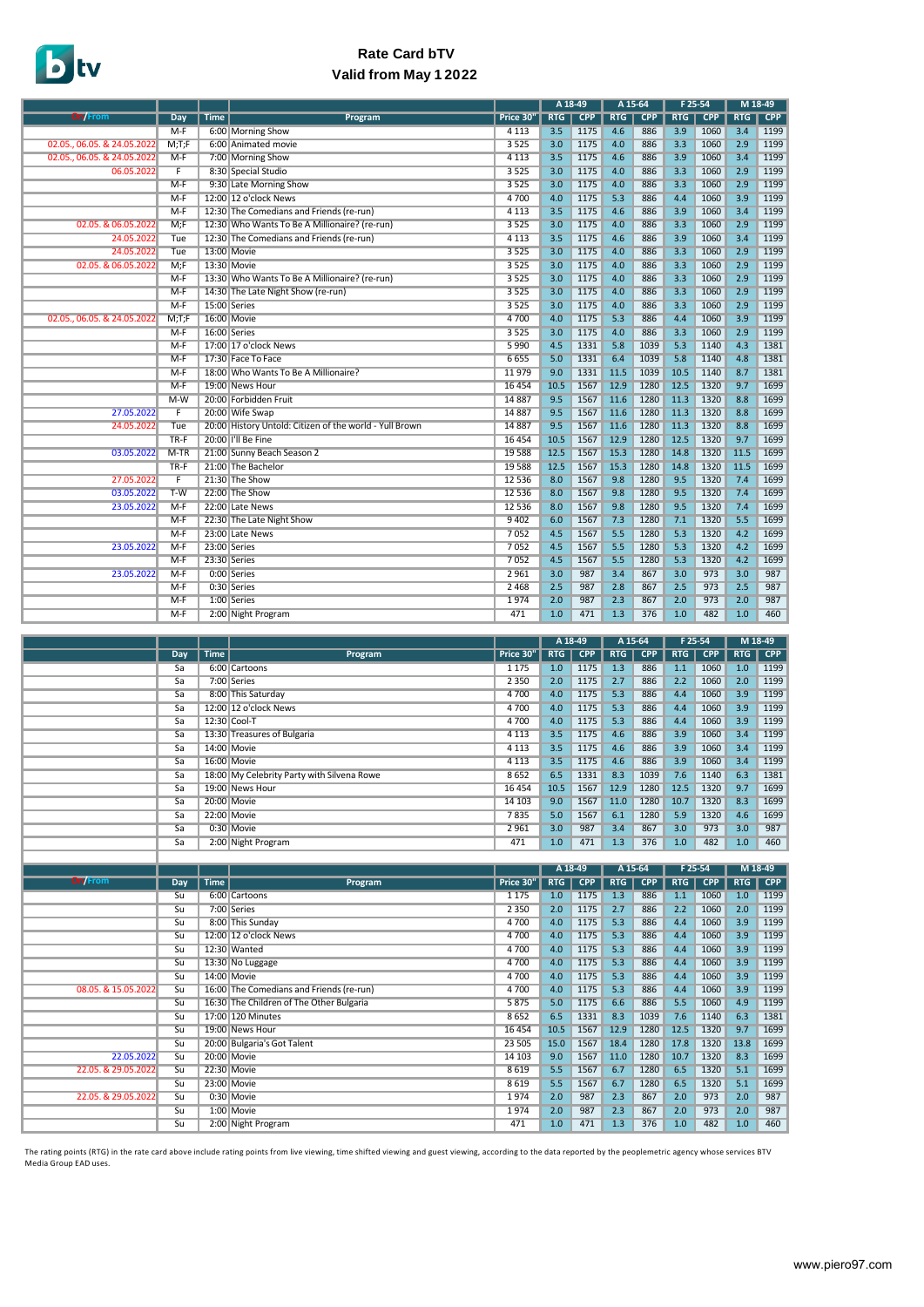## **Rate Card bTV Valid from May 1 2022**

| <b>On/From</b><br><b>RTG</b><br><b>RTG</b><br>RTG<br><b>RTG</b><br><b>CPP</b><br><b>Time</b><br>Price 30'<br><b>CPP</b><br><b>CPP</b><br><b>CPP</b><br><b>Dav</b><br>Program<br>3.5<br>4.6<br>3.9<br>3.4<br>$M-F$<br>6:00 Morning Show<br>4 1 1 3<br>1175<br>886<br>1060<br>1199<br>02.05., 06.05. & 24.05.2022<br>3.3<br>2.9<br>1199<br>M;T;F<br>6:00 Animated movie<br>3525<br>3.0<br>1175<br>4.0<br>886<br>1060<br>4.6<br>1199<br>02.05., 06.05. & 24.05.2022<br>$M-F$<br>7:00 Morning Show<br>3.5<br>1175<br>886<br>3.9<br>1060<br>3.4<br>4 1 1 3<br>4.0<br>3.3<br>2.9<br>1199<br>06.05.2022<br>F<br>8:30 Special Studio<br>3525<br>3.0<br>1175<br>886<br>1060<br>4.0<br>3.3<br>2.9<br>1199<br>$M-F$<br>9:30 Late Morning Show<br>3525<br>3.0<br>1175<br>886<br>1060<br>5.3<br>4.4<br>3.9<br>12:00 12 o'clock News<br>4.0<br>1175<br>886<br>1060<br>1199<br>$M-F$<br>4700<br>3.4<br>12:30 The Comedians and Friends (re-run)<br>3.5<br>4.6<br>3.9<br>1199<br>$M-F$<br>4 1 1 3<br>1175<br>886<br>1060<br>12:30 Who Wants To Be A Millionaire? (re-run)<br>3.3<br>2.9<br>1199<br>02.05. & 06.05.2022<br>M;F<br>3525<br>3.0<br>1175<br>4.0<br>886<br>1060<br>3.4<br>24.05.2022<br>12:30 The Comedians and Friends (re-run)<br>3.5<br>4.6<br>3.9<br>1199<br>4 1 1 3<br>1175<br>886<br>1060<br>Tue<br>3.3<br>2.9<br>1199<br>24.05.2022<br>13:00 Movie<br>3525<br>3.0<br>1175<br>4.0<br>886<br>1060<br>Tue<br>3.3<br>2.9<br>02.05. & 06.05.2022<br>M: F<br>13:30 Movie<br>3525<br>3.0<br>4.0<br>886<br>1199<br>1175<br>1060<br>3.3<br>2.9<br>3525<br>3.0<br>4.0<br>1199<br>$M-F$<br>13:30 Who Wants To Be A Millionaire? (re-run)<br>1175<br>886<br>1060<br>$M-F$<br>3.3<br>2.9<br>1199<br>14:30 The Late Night Show (re-run)<br>3525<br>3.0<br>1175<br>4.0<br>886<br>1060<br>3525<br>886<br>1199<br>$M-F$<br>15:00 Series<br>3.0<br>1175<br>4.0<br>3.3<br>1060<br>2.9<br>5.3<br>886<br>3.9<br>1199<br>16:00 Movie<br>4700<br>4.0<br>1175<br>4.4<br>1060<br>02.05., 06.05. & 24.05.2022<br>M;T;F<br>3.3<br>2.9<br>1175<br>4.0<br>886<br>1060<br>1199<br>$M-F$<br>16:00 Series<br>3525<br>3.0<br>5.3<br>4.3<br>4.5<br>5.8<br>1381<br>$M-F$<br>17:00 17 o'clock News<br>5990<br>1331<br>1039<br>1140<br>6.4<br>5.8<br>4.8<br>1381<br>6655<br>5.0<br>1331<br>1039<br>$M-F$<br>17:30 Face To Face<br>1140<br>18:00 Who Wants To Be A Millionaire?<br>9.0<br>1331<br>11.5<br>1039<br>10.5<br>8.7<br>1381<br>$M-F$<br>11979<br>1140<br>1567<br>12.9<br>1280<br>12.5<br>9.7<br>1699<br>$M-F$<br>19:00 News Hour<br>16 4 54<br>10.5<br>1320<br>9.5<br>11.3<br>8.8<br>1699<br>$M-W$<br>20:00 Forbidden Fruit<br>1567<br>11.6<br>1280<br>1320<br>14887<br>$\overline{F}$<br>8.8<br>1699<br>9.5<br>1567<br>11.6<br>1280<br>11.3<br>27.05.2022<br>20:00 Wife Swap<br>14887<br>1320<br>9.5<br>11.3<br>8.8<br>1699<br>20:00 History Untold: Citizen of the world - Yull Brown<br>1567<br>11.6<br>1280<br>1320<br>24.05.2022<br>Tue<br>14 8 87<br>$TR-F$<br>20:00 I'll Be Fine<br>16 4 54<br>10.5<br>1567<br>12.9<br>1280<br>12.5<br>1320<br>9.7<br>1699<br>1567<br>15.3<br>14.8<br>1320<br>11.5<br>1699<br>03.05.2022<br>$M-TR$<br>21:00 Sunny Beach Season 2<br>19 5 88<br>12.5<br>1280<br>15.3<br>14.8<br>11.5<br>1699<br>$TR-F$<br>21:00 The Bachelor<br>12.5<br>1567<br>1280<br>1320<br>19 5 88<br>$\overline{F}$<br>7.4<br>1699<br>27.05.2022<br>21:30 The Show<br>8.0<br>1567<br>9.8<br>9.5<br>12 5 36<br>1280<br>1320<br>03.05.2022<br>9.8<br>9.5<br>7.4<br>1699<br>$T-W$<br>22:00 The Show<br>12 5 36<br>8.0<br>1567<br>1280<br>1320<br>23.05.2022<br>$M-F$<br>22:00 Late News<br>8.0<br>1567<br>9.8<br>1280<br>9.5<br>1320<br>7.4<br>1699<br>12 5 36<br>5.5<br>6.0<br>1567<br>7.3<br>1280<br>7.1<br>1320<br>1699<br>$M-F$<br>22:30 The Late Night Show<br>9402<br>5.5<br>5.3<br>4.2<br>4.5<br>1699<br>$M-F$<br>23:00 Late News<br>7052<br>1567<br>1280<br>1320<br>4.5<br>5.5<br>5.3<br>4.2<br>1699<br>23.05.2022<br>$M-F$<br>23:00 Series<br>7052<br>1567<br>1280<br>1320<br>5.3<br>$M-F$<br>7052<br>4.5<br>5.5<br>4.2<br>1699<br>23:30 Series<br>1567<br>1280<br>1320<br>$M-F$<br>2961<br>987<br>867<br>973<br>3.0<br>987<br>23.05.2022<br>0:00 Series<br>3.0<br>3.4<br>3.0<br>987<br>$M-F$<br>0:30 Series<br>2468<br>2.5<br>987<br>2.8<br>867<br>2.5<br>973<br>2.5<br>2.0<br>987<br>M-F<br>1:00 Series<br>1974<br>2.0<br>987<br>2.3<br>867<br>2.0<br>973<br>$M-F$<br>471<br>1.0<br>471<br>1.3<br>376<br>1.0<br>482<br>1.0<br>460<br>2:00 Night Program |  |  |  |  | A 18-49 |  | A 15-64 |  | F 25-54 |  | M 18-49 |  |
|---------------------------------------------------------------------------------------------------------------------------------------------------------------------------------------------------------------------------------------------------------------------------------------------------------------------------------------------------------------------------------------------------------------------------------------------------------------------------------------------------------------------------------------------------------------------------------------------------------------------------------------------------------------------------------------------------------------------------------------------------------------------------------------------------------------------------------------------------------------------------------------------------------------------------------------------------------------------------------------------------------------------------------------------------------------------------------------------------------------------------------------------------------------------------------------------------------------------------------------------------------------------------------------------------------------------------------------------------------------------------------------------------------------------------------------------------------------------------------------------------------------------------------------------------------------------------------------------------------------------------------------------------------------------------------------------------------------------------------------------------------------------------------------------------------------------------------------------------------------------------------------------------------------------------------------------------------------------------------------------------------------------------------------------------------------------------------------------------------------------------------------------------------------------------------------------------------------------------------------------------------------------------------------------------------------------------------------------------------------------------------------------------------------------------------------------------------------------------------------------------------------------------------------------------------------------------------------------------------------------------------------------------------------------------------------------------------------------------------------------------------------------------------------------------------------------------------------------------------------------------------------------------------------------------------------------------------------------------------------------------------------------------------------------------------------------------------------------------------------------------------------------------------------------------------------------------------------------------------------------------------------------------------------------------------------------------------------------------------------------------------------------------------------------------------------------------------------------------------------------------------------------------------------------------------------------------------------------------------------------------------------------------------------------------------------------------------------------------------------------------------------------------------------------------------------------------------------------------------------------------------------------------------------------------------------------------------------------------------------------------------------------------------------------------------------------------------------------------------------------------------------------------------------------------------------------------------------------------------------------------------------------------------------------------------------------------------------------------------------------------------------------------------------------------------------------------|--|--|--|--|---------|--|---------|--|---------|--|---------|--|
|                                                                                                                                                                                                                                                                                                                                                                                                                                                                                                                                                                                                                                                                                                                                                                                                                                                                                                                                                                                                                                                                                                                                                                                                                                                                                                                                                                                                                                                                                                                                                                                                                                                                                                                                                                                                                                                                                                                                                                                                                                                                                                                                                                                                                                                                                                                                                                                                                                                                                                                                                                                                                                                                                                                                                                                                                                                                                                                                                                                                                                                                                                                                                                                                                                                                                                                                                                                                                                                                                                                                                                                                                                                                                                                                                                                                                                                                                                                                                                                                                                                                                                                                                                                                                                                                                                                                                                                                                                                   |  |  |  |  |         |  |         |  |         |  |         |  |
|                                                                                                                                                                                                                                                                                                                                                                                                                                                                                                                                                                                                                                                                                                                                                                                                                                                                                                                                                                                                                                                                                                                                                                                                                                                                                                                                                                                                                                                                                                                                                                                                                                                                                                                                                                                                                                                                                                                                                                                                                                                                                                                                                                                                                                                                                                                                                                                                                                                                                                                                                                                                                                                                                                                                                                                                                                                                                                                                                                                                                                                                                                                                                                                                                                                                                                                                                                                                                                                                                                                                                                                                                                                                                                                                                                                                                                                                                                                                                                                                                                                                                                                                                                                                                                                                                                                                                                                                                                                   |  |  |  |  |         |  |         |  |         |  |         |  |
|                                                                                                                                                                                                                                                                                                                                                                                                                                                                                                                                                                                                                                                                                                                                                                                                                                                                                                                                                                                                                                                                                                                                                                                                                                                                                                                                                                                                                                                                                                                                                                                                                                                                                                                                                                                                                                                                                                                                                                                                                                                                                                                                                                                                                                                                                                                                                                                                                                                                                                                                                                                                                                                                                                                                                                                                                                                                                                                                                                                                                                                                                                                                                                                                                                                                                                                                                                                                                                                                                                                                                                                                                                                                                                                                                                                                                                                                                                                                                                                                                                                                                                                                                                                                                                                                                                                                                                                                                                                   |  |  |  |  |         |  |         |  |         |  |         |  |
|                                                                                                                                                                                                                                                                                                                                                                                                                                                                                                                                                                                                                                                                                                                                                                                                                                                                                                                                                                                                                                                                                                                                                                                                                                                                                                                                                                                                                                                                                                                                                                                                                                                                                                                                                                                                                                                                                                                                                                                                                                                                                                                                                                                                                                                                                                                                                                                                                                                                                                                                                                                                                                                                                                                                                                                                                                                                                                                                                                                                                                                                                                                                                                                                                                                                                                                                                                                                                                                                                                                                                                                                                                                                                                                                                                                                                                                                                                                                                                                                                                                                                                                                                                                                                                                                                                                                                                                                                                                   |  |  |  |  |         |  |         |  |         |  |         |  |
|                                                                                                                                                                                                                                                                                                                                                                                                                                                                                                                                                                                                                                                                                                                                                                                                                                                                                                                                                                                                                                                                                                                                                                                                                                                                                                                                                                                                                                                                                                                                                                                                                                                                                                                                                                                                                                                                                                                                                                                                                                                                                                                                                                                                                                                                                                                                                                                                                                                                                                                                                                                                                                                                                                                                                                                                                                                                                                                                                                                                                                                                                                                                                                                                                                                                                                                                                                                                                                                                                                                                                                                                                                                                                                                                                                                                                                                                                                                                                                                                                                                                                                                                                                                                                                                                                                                                                                                                                                                   |  |  |  |  |         |  |         |  |         |  |         |  |
|                                                                                                                                                                                                                                                                                                                                                                                                                                                                                                                                                                                                                                                                                                                                                                                                                                                                                                                                                                                                                                                                                                                                                                                                                                                                                                                                                                                                                                                                                                                                                                                                                                                                                                                                                                                                                                                                                                                                                                                                                                                                                                                                                                                                                                                                                                                                                                                                                                                                                                                                                                                                                                                                                                                                                                                                                                                                                                                                                                                                                                                                                                                                                                                                                                                                                                                                                                                                                                                                                                                                                                                                                                                                                                                                                                                                                                                                                                                                                                                                                                                                                                                                                                                                                                                                                                                                                                                                                                                   |  |  |  |  |         |  |         |  |         |  |         |  |
|                                                                                                                                                                                                                                                                                                                                                                                                                                                                                                                                                                                                                                                                                                                                                                                                                                                                                                                                                                                                                                                                                                                                                                                                                                                                                                                                                                                                                                                                                                                                                                                                                                                                                                                                                                                                                                                                                                                                                                                                                                                                                                                                                                                                                                                                                                                                                                                                                                                                                                                                                                                                                                                                                                                                                                                                                                                                                                                                                                                                                                                                                                                                                                                                                                                                                                                                                                                                                                                                                                                                                                                                                                                                                                                                                                                                                                                                                                                                                                                                                                                                                                                                                                                                                                                                                                                                                                                                                                                   |  |  |  |  |         |  |         |  |         |  |         |  |
|                                                                                                                                                                                                                                                                                                                                                                                                                                                                                                                                                                                                                                                                                                                                                                                                                                                                                                                                                                                                                                                                                                                                                                                                                                                                                                                                                                                                                                                                                                                                                                                                                                                                                                                                                                                                                                                                                                                                                                                                                                                                                                                                                                                                                                                                                                                                                                                                                                                                                                                                                                                                                                                                                                                                                                                                                                                                                                                                                                                                                                                                                                                                                                                                                                                                                                                                                                                                                                                                                                                                                                                                                                                                                                                                                                                                                                                                                                                                                                                                                                                                                                                                                                                                                                                                                                                                                                                                                                                   |  |  |  |  |         |  |         |  |         |  |         |  |
|                                                                                                                                                                                                                                                                                                                                                                                                                                                                                                                                                                                                                                                                                                                                                                                                                                                                                                                                                                                                                                                                                                                                                                                                                                                                                                                                                                                                                                                                                                                                                                                                                                                                                                                                                                                                                                                                                                                                                                                                                                                                                                                                                                                                                                                                                                                                                                                                                                                                                                                                                                                                                                                                                                                                                                                                                                                                                                                                                                                                                                                                                                                                                                                                                                                                                                                                                                                                                                                                                                                                                                                                                                                                                                                                                                                                                                                                                                                                                                                                                                                                                                                                                                                                                                                                                                                                                                                                                                                   |  |  |  |  |         |  |         |  |         |  |         |  |
|                                                                                                                                                                                                                                                                                                                                                                                                                                                                                                                                                                                                                                                                                                                                                                                                                                                                                                                                                                                                                                                                                                                                                                                                                                                                                                                                                                                                                                                                                                                                                                                                                                                                                                                                                                                                                                                                                                                                                                                                                                                                                                                                                                                                                                                                                                                                                                                                                                                                                                                                                                                                                                                                                                                                                                                                                                                                                                                                                                                                                                                                                                                                                                                                                                                                                                                                                                                                                                                                                                                                                                                                                                                                                                                                                                                                                                                                                                                                                                                                                                                                                                                                                                                                                                                                                                                                                                                                                                                   |  |  |  |  |         |  |         |  |         |  |         |  |
|                                                                                                                                                                                                                                                                                                                                                                                                                                                                                                                                                                                                                                                                                                                                                                                                                                                                                                                                                                                                                                                                                                                                                                                                                                                                                                                                                                                                                                                                                                                                                                                                                                                                                                                                                                                                                                                                                                                                                                                                                                                                                                                                                                                                                                                                                                                                                                                                                                                                                                                                                                                                                                                                                                                                                                                                                                                                                                                                                                                                                                                                                                                                                                                                                                                                                                                                                                                                                                                                                                                                                                                                                                                                                                                                                                                                                                                                                                                                                                                                                                                                                                                                                                                                                                                                                                                                                                                                                                                   |  |  |  |  |         |  |         |  |         |  |         |  |
|                                                                                                                                                                                                                                                                                                                                                                                                                                                                                                                                                                                                                                                                                                                                                                                                                                                                                                                                                                                                                                                                                                                                                                                                                                                                                                                                                                                                                                                                                                                                                                                                                                                                                                                                                                                                                                                                                                                                                                                                                                                                                                                                                                                                                                                                                                                                                                                                                                                                                                                                                                                                                                                                                                                                                                                                                                                                                                                                                                                                                                                                                                                                                                                                                                                                                                                                                                                                                                                                                                                                                                                                                                                                                                                                                                                                                                                                                                                                                                                                                                                                                                                                                                                                                                                                                                                                                                                                                                                   |  |  |  |  |         |  |         |  |         |  |         |  |
|                                                                                                                                                                                                                                                                                                                                                                                                                                                                                                                                                                                                                                                                                                                                                                                                                                                                                                                                                                                                                                                                                                                                                                                                                                                                                                                                                                                                                                                                                                                                                                                                                                                                                                                                                                                                                                                                                                                                                                                                                                                                                                                                                                                                                                                                                                                                                                                                                                                                                                                                                                                                                                                                                                                                                                                                                                                                                                                                                                                                                                                                                                                                                                                                                                                                                                                                                                                                                                                                                                                                                                                                                                                                                                                                                                                                                                                                                                                                                                                                                                                                                                                                                                                                                                                                                                                                                                                                                                                   |  |  |  |  |         |  |         |  |         |  |         |  |
|                                                                                                                                                                                                                                                                                                                                                                                                                                                                                                                                                                                                                                                                                                                                                                                                                                                                                                                                                                                                                                                                                                                                                                                                                                                                                                                                                                                                                                                                                                                                                                                                                                                                                                                                                                                                                                                                                                                                                                                                                                                                                                                                                                                                                                                                                                                                                                                                                                                                                                                                                                                                                                                                                                                                                                                                                                                                                                                                                                                                                                                                                                                                                                                                                                                                                                                                                                                                                                                                                                                                                                                                                                                                                                                                                                                                                                                                                                                                                                                                                                                                                                                                                                                                                                                                                                                                                                                                                                                   |  |  |  |  |         |  |         |  |         |  |         |  |
|                                                                                                                                                                                                                                                                                                                                                                                                                                                                                                                                                                                                                                                                                                                                                                                                                                                                                                                                                                                                                                                                                                                                                                                                                                                                                                                                                                                                                                                                                                                                                                                                                                                                                                                                                                                                                                                                                                                                                                                                                                                                                                                                                                                                                                                                                                                                                                                                                                                                                                                                                                                                                                                                                                                                                                                                                                                                                                                                                                                                                                                                                                                                                                                                                                                                                                                                                                                                                                                                                                                                                                                                                                                                                                                                                                                                                                                                                                                                                                                                                                                                                                                                                                                                                                                                                                                                                                                                                                                   |  |  |  |  |         |  |         |  |         |  |         |  |
|                                                                                                                                                                                                                                                                                                                                                                                                                                                                                                                                                                                                                                                                                                                                                                                                                                                                                                                                                                                                                                                                                                                                                                                                                                                                                                                                                                                                                                                                                                                                                                                                                                                                                                                                                                                                                                                                                                                                                                                                                                                                                                                                                                                                                                                                                                                                                                                                                                                                                                                                                                                                                                                                                                                                                                                                                                                                                                                                                                                                                                                                                                                                                                                                                                                                                                                                                                                                                                                                                                                                                                                                                                                                                                                                                                                                                                                                                                                                                                                                                                                                                                                                                                                                                                                                                                                                                                                                                                                   |  |  |  |  |         |  |         |  |         |  |         |  |
|                                                                                                                                                                                                                                                                                                                                                                                                                                                                                                                                                                                                                                                                                                                                                                                                                                                                                                                                                                                                                                                                                                                                                                                                                                                                                                                                                                                                                                                                                                                                                                                                                                                                                                                                                                                                                                                                                                                                                                                                                                                                                                                                                                                                                                                                                                                                                                                                                                                                                                                                                                                                                                                                                                                                                                                                                                                                                                                                                                                                                                                                                                                                                                                                                                                                                                                                                                                                                                                                                                                                                                                                                                                                                                                                                                                                                                                                                                                                                                                                                                                                                                                                                                                                                                                                                                                                                                                                                                                   |  |  |  |  |         |  |         |  |         |  |         |  |
|                                                                                                                                                                                                                                                                                                                                                                                                                                                                                                                                                                                                                                                                                                                                                                                                                                                                                                                                                                                                                                                                                                                                                                                                                                                                                                                                                                                                                                                                                                                                                                                                                                                                                                                                                                                                                                                                                                                                                                                                                                                                                                                                                                                                                                                                                                                                                                                                                                                                                                                                                                                                                                                                                                                                                                                                                                                                                                                                                                                                                                                                                                                                                                                                                                                                                                                                                                                                                                                                                                                                                                                                                                                                                                                                                                                                                                                                                                                                                                                                                                                                                                                                                                                                                                                                                                                                                                                                                                                   |  |  |  |  |         |  |         |  |         |  |         |  |
|                                                                                                                                                                                                                                                                                                                                                                                                                                                                                                                                                                                                                                                                                                                                                                                                                                                                                                                                                                                                                                                                                                                                                                                                                                                                                                                                                                                                                                                                                                                                                                                                                                                                                                                                                                                                                                                                                                                                                                                                                                                                                                                                                                                                                                                                                                                                                                                                                                                                                                                                                                                                                                                                                                                                                                                                                                                                                                                                                                                                                                                                                                                                                                                                                                                                                                                                                                                                                                                                                                                                                                                                                                                                                                                                                                                                                                                                                                                                                                                                                                                                                                                                                                                                                                                                                                                                                                                                                                                   |  |  |  |  |         |  |         |  |         |  |         |  |
|                                                                                                                                                                                                                                                                                                                                                                                                                                                                                                                                                                                                                                                                                                                                                                                                                                                                                                                                                                                                                                                                                                                                                                                                                                                                                                                                                                                                                                                                                                                                                                                                                                                                                                                                                                                                                                                                                                                                                                                                                                                                                                                                                                                                                                                                                                                                                                                                                                                                                                                                                                                                                                                                                                                                                                                                                                                                                                                                                                                                                                                                                                                                                                                                                                                                                                                                                                                                                                                                                                                                                                                                                                                                                                                                                                                                                                                                                                                                                                                                                                                                                                                                                                                                                                                                                                                                                                                                                                                   |  |  |  |  |         |  |         |  |         |  |         |  |
|                                                                                                                                                                                                                                                                                                                                                                                                                                                                                                                                                                                                                                                                                                                                                                                                                                                                                                                                                                                                                                                                                                                                                                                                                                                                                                                                                                                                                                                                                                                                                                                                                                                                                                                                                                                                                                                                                                                                                                                                                                                                                                                                                                                                                                                                                                                                                                                                                                                                                                                                                                                                                                                                                                                                                                                                                                                                                                                                                                                                                                                                                                                                                                                                                                                                                                                                                                                                                                                                                                                                                                                                                                                                                                                                                                                                                                                                                                                                                                                                                                                                                                                                                                                                                                                                                                                                                                                                                                                   |  |  |  |  |         |  |         |  |         |  |         |  |
|                                                                                                                                                                                                                                                                                                                                                                                                                                                                                                                                                                                                                                                                                                                                                                                                                                                                                                                                                                                                                                                                                                                                                                                                                                                                                                                                                                                                                                                                                                                                                                                                                                                                                                                                                                                                                                                                                                                                                                                                                                                                                                                                                                                                                                                                                                                                                                                                                                                                                                                                                                                                                                                                                                                                                                                                                                                                                                                                                                                                                                                                                                                                                                                                                                                                                                                                                                                                                                                                                                                                                                                                                                                                                                                                                                                                                                                                                                                                                                                                                                                                                                                                                                                                                                                                                                                                                                                                                                                   |  |  |  |  |         |  |         |  |         |  |         |  |
|                                                                                                                                                                                                                                                                                                                                                                                                                                                                                                                                                                                                                                                                                                                                                                                                                                                                                                                                                                                                                                                                                                                                                                                                                                                                                                                                                                                                                                                                                                                                                                                                                                                                                                                                                                                                                                                                                                                                                                                                                                                                                                                                                                                                                                                                                                                                                                                                                                                                                                                                                                                                                                                                                                                                                                                                                                                                                                                                                                                                                                                                                                                                                                                                                                                                                                                                                                                                                                                                                                                                                                                                                                                                                                                                                                                                                                                                                                                                                                                                                                                                                                                                                                                                                                                                                                                                                                                                                                                   |  |  |  |  |         |  |         |  |         |  |         |  |
|                                                                                                                                                                                                                                                                                                                                                                                                                                                                                                                                                                                                                                                                                                                                                                                                                                                                                                                                                                                                                                                                                                                                                                                                                                                                                                                                                                                                                                                                                                                                                                                                                                                                                                                                                                                                                                                                                                                                                                                                                                                                                                                                                                                                                                                                                                                                                                                                                                                                                                                                                                                                                                                                                                                                                                                                                                                                                                                                                                                                                                                                                                                                                                                                                                                                                                                                                                                                                                                                                                                                                                                                                                                                                                                                                                                                                                                                                                                                                                                                                                                                                                                                                                                                                                                                                                                                                                                                                                                   |  |  |  |  |         |  |         |  |         |  |         |  |
|                                                                                                                                                                                                                                                                                                                                                                                                                                                                                                                                                                                                                                                                                                                                                                                                                                                                                                                                                                                                                                                                                                                                                                                                                                                                                                                                                                                                                                                                                                                                                                                                                                                                                                                                                                                                                                                                                                                                                                                                                                                                                                                                                                                                                                                                                                                                                                                                                                                                                                                                                                                                                                                                                                                                                                                                                                                                                                                                                                                                                                                                                                                                                                                                                                                                                                                                                                                                                                                                                                                                                                                                                                                                                                                                                                                                                                                                                                                                                                                                                                                                                                                                                                                                                                                                                                                                                                                                                                                   |  |  |  |  |         |  |         |  |         |  |         |  |
|                                                                                                                                                                                                                                                                                                                                                                                                                                                                                                                                                                                                                                                                                                                                                                                                                                                                                                                                                                                                                                                                                                                                                                                                                                                                                                                                                                                                                                                                                                                                                                                                                                                                                                                                                                                                                                                                                                                                                                                                                                                                                                                                                                                                                                                                                                                                                                                                                                                                                                                                                                                                                                                                                                                                                                                                                                                                                                                                                                                                                                                                                                                                                                                                                                                                                                                                                                                                                                                                                                                                                                                                                                                                                                                                                                                                                                                                                                                                                                                                                                                                                                                                                                                                                                                                                                                                                                                                                                                   |  |  |  |  |         |  |         |  |         |  |         |  |
|                                                                                                                                                                                                                                                                                                                                                                                                                                                                                                                                                                                                                                                                                                                                                                                                                                                                                                                                                                                                                                                                                                                                                                                                                                                                                                                                                                                                                                                                                                                                                                                                                                                                                                                                                                                                                                                                                                                                                                                                                                                                                                                                                                                                                                                                                                                                                                                                                                                                                                                                                                                                                                                                                                                                                                                                                                                                                                                                                                                                                                                                                                                                                                                                                                                                                                                                                                                                                                                                                                                                                                                                                                                                                                                                                                                                                                                                                                                                                                                                                                                                                                                                                                                                                                                                                                                                                                                                                                                   |  |  |  |  |         |  |         |  |         |  |         |  |
|                                                                                                                                                                                                                                                                                                                                                                                                                                                                                                                                                                                                                                                                                                                                                                                                                                                                                                                                                                                                                                                                                                                                                                                                                                                                                                                                                                                                                                                                                                                                                                                                                                                                                                                                                                                                                                                                                                                                                                                                                                                                                                                                                                                                                                                                                                                                                                                                                                                                                                                                                                                                                                                                                                                                                                                                                                                                                                                                                                                                                                                                                                                                                                                                                                                                                                                                                                                                                                                                                                                                                                                                                                                                                                                                                                                                                                                                                                                                                                                                                                                                                                                                                                                                                                                                                                                                                                                                                                                   |  |  |  |  |         |  |         |  |         |  |         |  |
|                                                                                                                                                                                                                                                                                                                                                                                                                                                                                                                                                                                                                                                                                                                                                                                                                                                                                                                                                                                                                                                                                                                                                                                                                                                                                                                                                                                                                                                                                                                                                                                                                                                                                                                                                                                                                                                                                                                                                                                                                                                                                                                                                                                                                                                                                                                                                                                                                                                                                                                                                                                                                                                                                                                                                                                                                                                                                                                                                                                                                                                                                                                                                                                                                                                                                                                                                                                                                                                                                                                                                                                                                                                                                                                                                                                                                                                                                                                                                                                                                                                                                                                                                                                                                                                                                                                                                                                                                                                   |  |  |  |  |         |  |         |  |         |  |         |  |
|                                                                                                                                                                                                                                                                                                                                                                                                                                                                                                                                                                                                                                                                                                                                                                                                                                                                                                                                                                                                                                                                                                                                                                                                                                                                                                                                                                                                                                                                                                                                                                                                                                                                                                                                                                                                                                                                                                                                                                                                                                                                                                                                                                                                                                                                                                                                                                                                                                                                                                                                                                                                                                                                                                                                                                                                                                                                                                                                                                                                                                                                                                                                                                                                                                                                                                                                                                                                                                                                                                                                                                                                                                                                                                                                                                                                                                                                                                                                                                                                                                                                                                                                                                                                                                                                                                                                                                                                                                                   |  |  |  |  |         |  |         |  |         |  |         |  |
|                                                                                                                                                                                                                                                                                                                                                                                                                                                                                                                                                                                                                                                                                                                                                                                                                                                                                                                                                                                                                                                                                                                                                                                                                                                                                                                                                                                                                                                                                                                                                                                                                                                                                                                                                                                                                                                                                                                                                                                                                                                                                                                                                                                                                                                                                                                                                                                                                                                                                                                                                                                                                                                                                                                                                                                                                                                                                                                                                                                                                                                                                                                                                                                                                                                                                                                                                                                                                                                                                                                                                                                                                                                                                                                                                                                                                                                                                                                                                                                                                                                                                                                                                                                                                                                                                                                                                                                                                                                   |  |  |  |  |         |  |         |  |         |  |         |  |
|                                                                                                                                                                                                                                                                                                                                                                                                                                                                                                                                                                                                                                                                                                                                                                                                                                                                                                                                                                                                                                                                                                                                                                                                                                                                                                                                                                                                                                                                                                                                                                                                                                                                                                                                                                                                                                                                                                                                                                                                                                                                                                                                                                                                                                                                                                                                                                                                                                                                                                                                                                                                                                                                                                                                                                                                                                                                                                                                                                                                                                                                                                                                                                                                                                                                                                                                                                                                                                                                                                                                                                                                                                                                                                                                                                                                                                                                                                                                                                                                                                                                                                                                                                                                                                                                                                                                                                                                                                                   |  |  |  |  |         |  |         |  |         |  |         |  |
|                                                                                                                                                                                                                                                                                                                                                                                                                                                                                                                                                                                                                                                                                                                                                                                                                                                                                                                                                                                                                                                                                                                                                                                                                                                                                                                                                                                                                                                                                                                                                                                                                                                                                                                                                                                                                                                                                                                                                                                                                                                                                                                                                                                                                                                                                                                                                                                                                                                                                                                                                                                                                                                                                                                                                                                                                                                                                                                                                                                                                                                                                                                                                                                                                                                                                                                                                                                                                                                                                                                                                                                                                                                                                                                                                                                                                                                                                                                                                                                                                                                                                                                                                                                                                                                                                                                                                                                                                                                   |  |  |  |  |         |  |         |  |         |  |         |  |
|                                                                                                                                                                                                                                                                                                                                                                                                                                                                                                                                                                                                                                                                                                                                                                                                                                                                                                                                                                                                                                                                                                                                                                                                                                                                                                                                                                                                                                                                                                                                                                                                                                                                                                                                                                                                                                                                                                                                                                                                                                                                                                                                                                                                                                                                                                                                                                                                                                                                                                                                                                                                                                                                                                                                                                                                                                                                                                                                                                                                                                                                                                                                                                                                                                                                                                                                                                                                                                                                                                                                                                                                                                                                                                                                                                                                                                                                                                                                                                                                                                                                                                                                                                                                                                                                                                                                                                                                                                                   |  |  |  |  |         |  |         |  |         |  |         |  |
|                                                                                                                                                                                                                                                                                                                                                                                                                                                                                                                                                                                                                                                                                                                                                                                                                                                                                                                                                                                                                                                                                                                                                                                                                                                                                                                                                                                                                                                                                                                                                                                                                                                                                                                                                                                                                                                                                                                                                                                                                                                                                                                                                                                                                                                                                                                                                                                                                                                                                                                                                                                                                                                                                                                                                                                                                                                                                                                                                                                                                                                                                                                                                                                                                                                                                                                                                                                                                                                                                                                                                                                                                                                                                                                                                                                                                                                                                                                                                                                                                                                                                                                                                                                                                                                                                                                                                                                                                                                   |  |  |  |  |         |  |         |  |         |  |         |  |
|                                                                                                                                                                                                                                                                                                                                                                                                                                                                                                                                                                                                                                                                                                                                                                                                                                                                                                                                                                                                                                                                                                                                                                                                                                                                                                                                                                                                                                                                                                                                                                                                                                                                                                                                                                                                                                                                                                                                                                                                                                                                                                                                                                                                                                                                                                                                                                                                                                                                                                                                                                                                                                                                                                                                                                                                                                                                                                                                                                                                                                                                                                                                                                                                                                                                                                                                                                                                                                                                                                                                                                                                                                                                                                                                                                                                                                                                                                                                                                                                                                                                                                                                                                                                                                                                                                                                                                                                                                                   |  |  |  |  |         |  |         |  |         |  |         |  |
|                                                                                                                                                                                                                                                                                                                                                                                                                                                                                                                                                                                                                                                                                                                                                                                                                                                                                                                                                                                                                                                                                                                                                                                                                                                                                                                                                                                                                                                                                                                                                                                                                                                                                                                                                                                                                                                                                                                                                                                                                                                                                                                                                                                                                                                                                                                                                                                                                                                                                                                                                                                                                                                                                                                                                                                                                                                                                                                                                                                                                                                                                                                                                                                                                                                                                                                                                                                                                                                                                                                                                                                                                                                                                                                                                                                                                                                                                                                                                                                                                                                                                                                                                                                                                                                                                                                                                                                                                                                   |  |  |  |  |         |  |         |  |         |  |         |  |
|                                                                                                                                                                                                                                                                                                                                                                                                                                                                                                                                                                                                                                                                                                                                                                                                                                                                                                                                                                                                                                                                                                                                                                                                                                                                                                                                                                                                                                                                                                                                                                                                                                                                                                                                                                                                                                                                                                                                                                                                                                                                                                                                                                                                                                                                                                                                                                                                                                                                                                                                                                                                                                                                                                                                                                                                                                                                                                                                                                                                                                                                                                                                                                                                                                                                                                                                                                                                                                                                                                                                                                                                                                                                                                                                                                                                                                                                                                                                                                                                                                                                                                                                                                                                                                                                                                                                                                                                                                                   |  |  |  |  |         |  |         |  |         |  |         |  |

|     |             |                                            |           | A 18-49    |            | A 15-64    |            | F 25-54    |            | M 18-49    |            |
|-----|-------------|--------------------------------------------|-----------|------------|------------|------------|------------|------------|------------|------------|------------|
| Day | <b>Time</b> | Program                                    | Price 30" | <b>RTG</b> | <b>CPP</b> | <b>RTG</b> | <b>CPP</b> | <b>RTG</b> | <b>CPP</b> | <b>RTG</b> | <b>CPP</b> |
| Sa  |             | 6:00 Cartoons                              | 1 1 7 5   | 1.0        | 1175       | 1.3        | 886        | 1.1        | 1060       | 1.0        | 1199       |
| Sa  |             | 7:00 Series                                | 2 3 5 0   | 2.0        | 1175       | 2.7        | 886        | 2.2        | 1060       | 2.0        | 1199       |
| Sa  |             | 8:00 This Saturday                         | 4 700     | 4.0        | 1175       | 5.3        | 886        | 4.4        | 1060       | 3.9        | 1199       |
| Sa  |             | 12:00 12 o'clock News                      | 4 700     | 4.0        | 1175       | 5.3        | 886        | 4.4        | 1060       | 3.9        | 1199       |
| Sa  |             | 12:30 Cool-T                               | 4 700     | 4.0        | 1175       | 5.3        | 886        | 4.4        | 1060       | 3.9        | 1199       |
| Sa  |             | 13:30 Treasures of Bulgaria                | 4 1 1 3   | 3.5        | 1175       | 4.6        | 886        | 3.9        | 1060       | 3.4        | 1199       |
| Sa  |             | 14:00 Movie                                | 4 1 1 3   | 3.5        | 1175       | 4.6        | 886        | 3.9        | 1060       | 3.4        | 1199       |
| Sa  |             | 16:00 Movie                                | 4 1 1 3   | 3.5        | 1175       | 4.6        | 886        | 3.9        | 1060       | 3.4        | 1199       |
| Sa  |             | 18:00 My Celebrity Party with Silvena Rowe | 8652      | 6.5        | 1331       | 8.3        | 1039       | 7.6        | 1140       | 6.3        | 1381       |
| Sa  |             | 19:00 News Hour                            | 16 4 54   | 10.5       | 1567       | 12.9       | 1280       | 12.5       | 1320       | 9.7        | 1699       |
| Sa  |             | 20:00 Movie                                | 14 10 3   | 9.0        | 1567       | 11.0       | 1280       | 10.7       | 1320       | 8.3        | 1699       |
| Sa  |             | 22:00 Movie                                | 7835      | 5.0        | 1567       | 6.1        | 1280       | 5.9        | 1320       | 4.6        | 1699       |
| Sa  |             | 0:30 Movie                                 | 2961      | 3.0        | 987        | 3.4        | 867        | 3.0        | 973        | 3.0        | 987        |
| Sa  |             | 2:00 Night Program                         | 471       | 1.0        | 471        | 1.3        | 376        | 1.0        | 482        | 1.0        | 460        |

|                     |     |             |                                          |           | A 18-49    |            |            | A 15-64    | F 25-54    |            | M 18-49    |            |
|---------------------|-----|-------------|------------------------------------------|-----------|------------|------------|------------|------------|------------|------------|------------|------------|
| <b>On/From</b>      | Day | <b>Time</b> | Program                                  | Price 30' | <b>RTG</b> | <b>CPP</b> | <b>RTG</b> | <b>CPP</b> | <b>RTG</b> | <b>CPP</b> | <b>RTG</b> | <b>CPP</b> |
|                     | Su  |             | 6:00 Cartoons                            | 1 1 7 5   | 1.0        | 1175       | 1.3        | 886        | 1.1        | 1060       | 1.0        | 1199       |
|                     | Su  |             | 7:00 Series                              | 2 3 5 0   | 2.0        | 1175       | 2.7        | 886        | 2.2        | 1060       | 2.0        | 1199       |
|                     | Su  |             | 8:00 This Sunday                         | 4700      | 4.0        | 1175       | 5.3        | 886        | 4.4        | 1060       | 3.9        | 1199       |
|                     | Su  |             | 12:00 12 o'clock News                    | 4700      | 4.0        | 1175       | 5.3        | 886        | 4.4        | 1060       | 3.9        | 1199       |
|                     | Su  |             | 12:30 Wanted                             | 4700      | 4.0        | 1175       | 5.3        | 886        | 4.4        | 1060       | 3.9        | 1199       |
|                     | Su  |             | 13:30 No Luggage                         | 4700      | 4.0        | 1175       | 5.3        | 886        | 4.4        | 1060       | 3.9        | 1199       |
|                     | Su  |             | 14:00 Movie                              | 4700      | 4.0        | 1175       | 5.3        | 886        | 4.4        | 1060       | 3.9        | 1199       |
| 08.05. & 15.05.2022 | Su  |             | 16:00 The Comedians and Friends (re-run) | 4700      | 4.0        | 1175       | 5.3        | 886        | 4.4        | 1060       | 3.9        | 1199       |
|                     | Su  |             | 16:30 The Children of The Other Bulgaria | 5875      | 5.0        | 1175       | 6.6        | 886        | 5.5        | 1060       | 4.9        | 1199       |
|                     | Su  |             | 17:00 120 Minutes                        | 8652      | 6.5        | 1331       | 8.3        | 1039       | 7.6        | 1140       | 6.3        | 1381       |
|                     | Su  |             | 19:00 News Hour                          | 16 4 54   | 10.5       | 1567       | 12.9       | 1280       | 12.5       | 1320       | 9.7        | 1699       |
|                     | Su  |             | 20:00 Bulgaria's Got Talent              | 23 505    | 15.0       | 1567       | 18.4       | 1280       | 17.8       | 1320       | 13.8       | 1699       |
| 22.05.2022          | Su  |             | 20:00 Movie                              | 14 10 3   | 9.0        | 1567       | 11.0       | 1280       | 10.7       | 1320       | 8.3        | 1699       |
| 22.05. & 29.05.2022 | Su  |             | 22:30 Movie                              | 8619      | 5.5        | 1567       | 6.7        | 1280       | 6.5        | 1320       | 5.1        | 1699       |
|                     | Su  |             | 23:00 Movie                              | 8619      | 5.5        | 1567       | 6.7        | 1280       | 6.5        | 1320       | 5.1        | 1699       |
| 22.05. & 29.05.2022 | Su  |             | 0:30 Movie                               | 1974      | 2.0        | 987        | 2.3        | 867        | 2.0        | 973        | 2.0        | 987        |
|                     | Su  |             | 1:00 Movie                               | 1974      | 2.0        | 987        | 2.3        | 867        | 2.0        | 973        | 2.0        | 987        |
|                     | Su  |             | 2:00 Night Program                       | 471       | 1.0        | 471        | 1.3        | 376        | 1.0        | 482        | 1.0        | 460        |

The rating points (RTG) in the rate card above include rating points from live viewing, time shifted viewing, and guest viewing, according to the data reported by the peoplemetric agency whose services BTV<br>Media Group EAD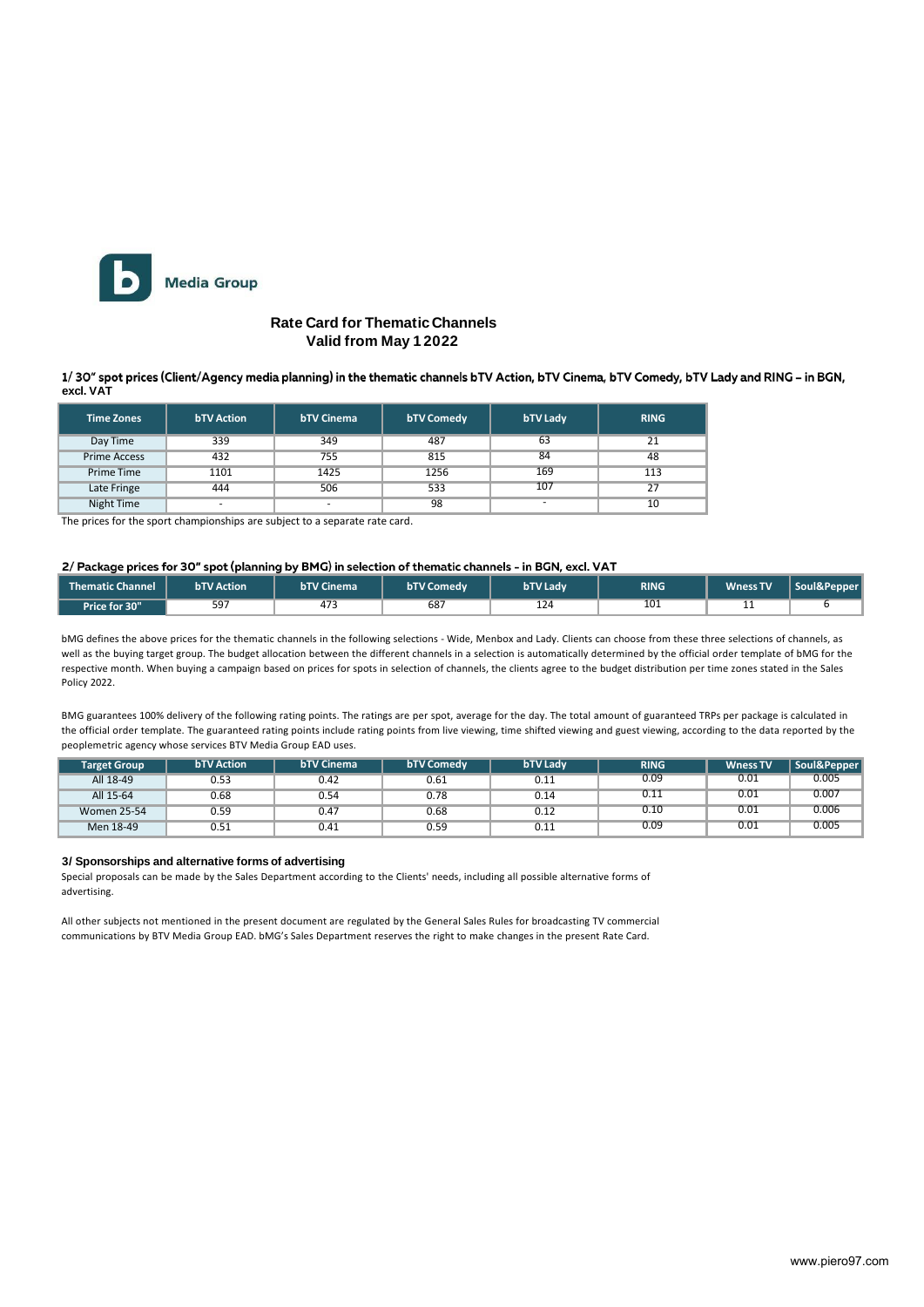

### **Rate Card for ThematicChannels Valid from May 1 2022**

1/30" spot prices (Client/Agency media planning) in the thematic channels bTV Action, bTV Cinema, bTV Comedy, bTV Lady and RING - in BGN, **excl. VAT**

| <b>Time Zones</b>   | <b>bTV Action</b> | <b>bTV Cinema</b> | <b>bTV Comedy</b> | <b>bTV Lady</b>          | <b>RING</b> |
|---------------------|-------------------|-------------------|-------------------|--------------------------|-------------|
| Day Time            | 339               | 349               | 487               | 63                       | 21          |
| <b>Prime Access</b> | 432               | 755               | 815               | 84                       | 48          |
| Prime Time          | 1101              | 1425              | 1256              | 169                      | 113         |
| Late Fringe         | 444               | 506               | 533               | 107                      | 27          |
| Night Time          | ٠                 |                   | 98                | $\overline{\phantom{a}}$ | 10          |

The prices for the sport championships are subject to a separate rate card.

#### 2/ Package prices for 30" spot (planning by BMG) in selection of thematic channels - in BGN, excl. VAT

| Thematic Channel | <b>bTV Action</b> | <b>bTV Cinema</b> | <b>bTV Comedy</b> | <b>bTV Ladv</b> | <b>RING</b> | <b>Wness TV</b> | Soul&Pepper |
|------------------|-------------------|-------------------|-------------------|-----------------|-------------|-----------------|-------------|
| Price for 30"    | 597               | 473               | 68                | 124             | 101         | --              |             |

bMG defines the above prices for the thematic channels in the following selections - Wide, Menbox and Lady. Clients can choose from these three selections of channels, as well as the buying target group. The budget allocation between the different channels in a selection is automatically determined by the official order template of bMG for the respective month. When buying a campaign based on prices for spots in selection of channels, the clients agree to the budget distribution per time zones stated in the Sales Policy 2022.

BMG guarantees 100% delivery of the following rating points. The ratings are per spot, average for the day. The total amount of guaranteed TRPs per package is calculated in the official order template. The guaranteed rating points include rating points from live viewing, time shifted viewing and guest viewing, according to the data reported by the peoplemetric agency whose services BTV Media Group EAD uses.

| <b>Target Group</b> | <b>bTV Action</b> | <b>bTV Cinema</b> | <b>bTV Comedy</b> | <b>bTV Ladv</b> | <b>RING</b> | <b>Wness TV</b> | Soul&Pepper |
|---------------------|-------------------|-------------------|-------------------|-----------------|-------------|-----------------|-------------|
| All 18-49           | 0.53              | 0.42              | 0.61              | 0.11            | 0.09        | 0.01            | 0.005       |
| All 15-64           | 0.68              | 0.54              | 0.78              | 0.14            | 0.11        | 0.01            | 0.007       |
| <b>Women 25-54</b>  | 0.59              | 0.47              | 0.68              | 0.12            | 0.10        | 0.01            | 0.006       |
| Men 18-49           | 0.51              | 0.41              | 0.59              | 0.11            | 0.09        | 0.01            | 0.005       |

#### **3/ Sponsorships and alternative forms of advertising**

Special proposals can be made by the Sales Department according to the Clients' needs, including all possible alternative forms of advertising.

All other subjects not mentioned in the present document are regulated by the General Sales Rules for broadcasting TV commercial communications by BTV Media Group EAD. bMG's Sales Department reserves the right to make changes in the present Rate Card.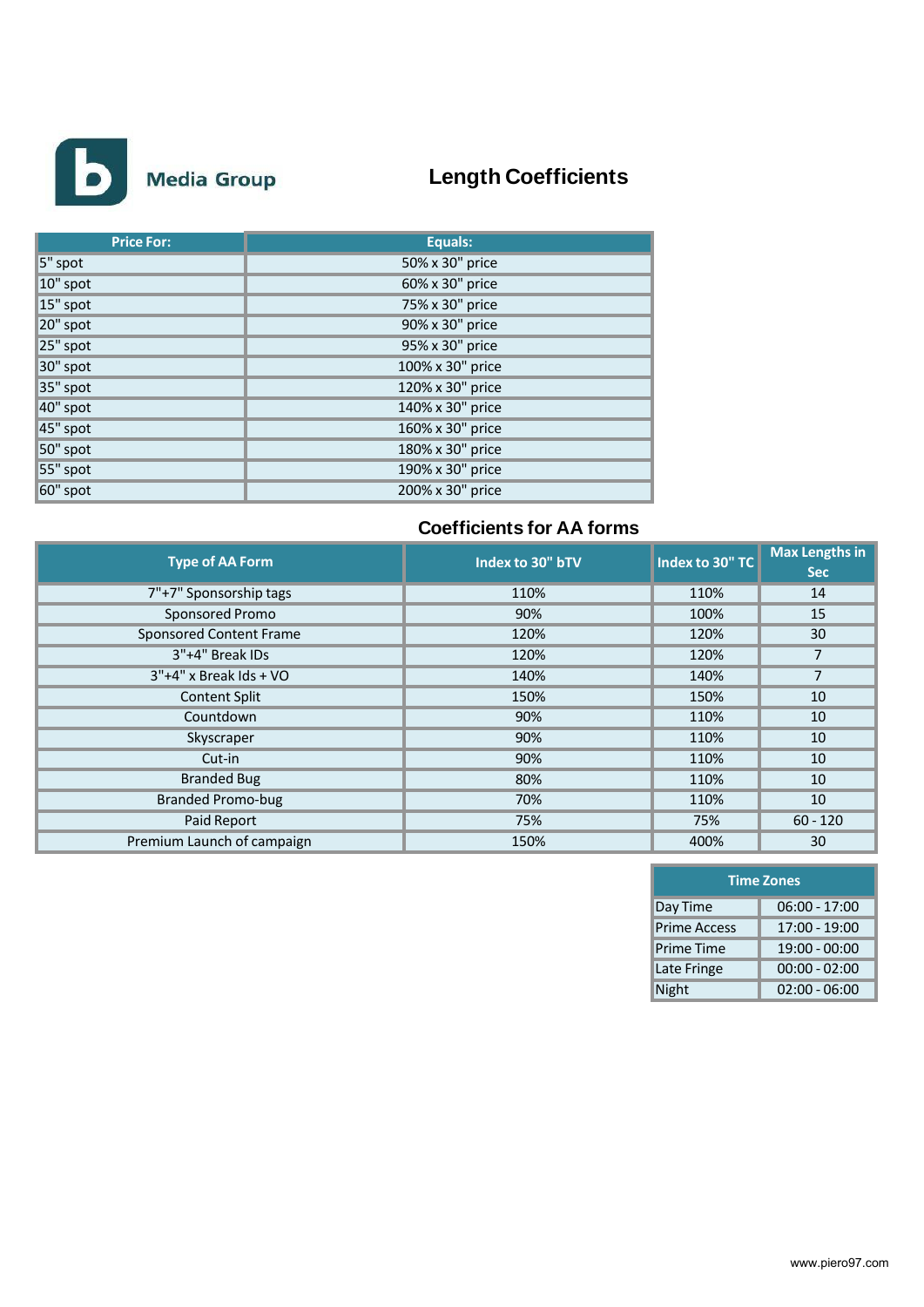

# **Length Coefficients**

| <b>Price For:</b> | Equals:          |
|-------------------|------------------|
| 5" spot           | 50% x 30" price  |
| $10"$ spot        | 60% x 30" price  |
| 15" spot          | 75% x 30" price  |
| 20" spot          | 90% x 30" price  |
| 25" spot          | 95% x 30" price  |
| 30" spot          | 100% x 30" price |
| 35" spot          | 120% x 30" price |
| 40" spot          | 140% x 30" price |
| 45" spot          | 160% x 30" price |
| 50" spot          | 180% x 30" price |
| 55" spot          | 190% x 30" price |
| $60"$ spot        | 200% x 30" price |

## **Coefficients for AA forms**

| <b>Type of AA Form</b>         | Index to 30" bTV | Index to 30" TC | <b>Max Lengths in</b><br><b>Sec</b> |
|--------------------------------|------------------|-----------------|-------------------------------------|
| 7"+7" Sponsorship tags         | 110%             | 110%            | 14                                  |
| Sponsored Promo                | 90%              | 100%            | 15                                  |
| <b>Sponsored Content Frame</b> | 120%             | 120%            | 30                                  |
| 3"+4" Break IDs                | 120%             | 120%            | 7                                   |
| $3"+4"$ x Break Ids + VO       | 140%             | 140%            | $\overline{7}$                      |
| <b>Content Split</b>           | 150%             | 150%            | 10                                  |
| Countdown                      | 90%              | 110%            | 10                                  |
| Skyscraper                     | 90%              | 110%            | 10                                  |
| Cut-in                         | 90%              | 110%            | 10                                  |
| <b>Branded Bug</b>             | 80%              | 110%            | 10                                  |
| <b>Branded Promo-bug</b>       | 70%              | 110%            | 10                                  |
| Paid Report                    | 75%              | 75%             | $60 - 120$                          |
| Premium Launch of campaign     | 150%             | 400%            | 30                                  |

| <b>Time Zones</b>   |                 |  |  |  |  |  |  |
|---------------------|-----------------|--|--|--|--|--|--|
| Day Time            | $06:00 - 17:00$ |  |  |  |  |  |  |
| <b>Prime Access</b> | 17:00 - 19:00   |  |  |  |  |  |  |
| <b>Prime Time</b>   | $19:00 - 00:00$ |  |  |  |  |  |  |
| Late Fringe         | $00:00 - 02:00$ |  |  |  |  |  |  |
| <b>Night</b>        | $02:00 - 06:00$ |  |  |  |  |  |  |